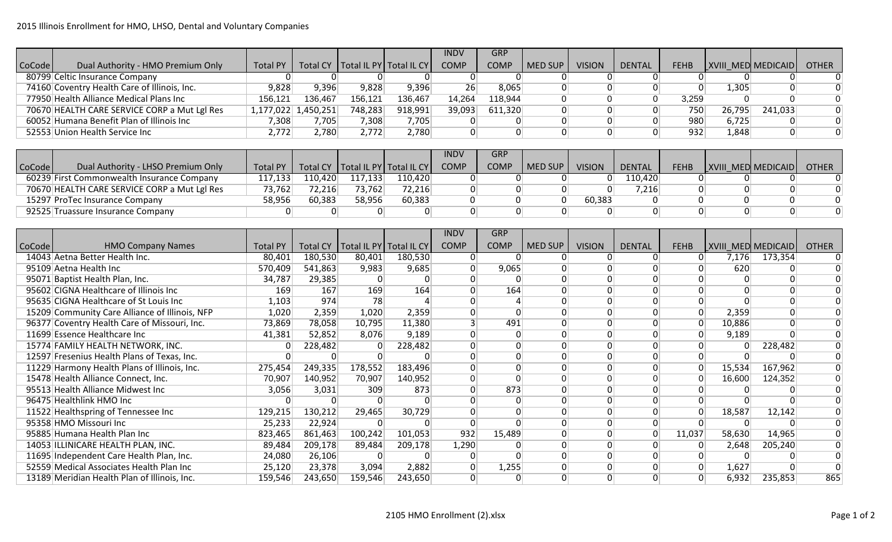|                     |                                              |                     |         |         |                                      | <b>INDV</b>     | <b>GRP</b>  |                |               |               |             |        |                           |              |
|---------------------|----------------------------------------------|---------------------|---------|---------|--------------------------------------|-----------------|-------------|----------------|---------------|---------------|-------------|--------|---------------------------|--------------|
| CoCode <sup>l</sup> | Dual Authority - HMO Premium Only            | <b>Total PY</b>     |         |         | Total CY   Total IL PY   Total IL CY | <b>COMP</b>     | <b>COMP</b> | <b>MED SUP</b> | <b>VISION</b> | <b>DENTAL</b> | <b>FEHB</b> |        | <b>XVIII MED MEDICAID</b> | <b>OTHER</b> |
|                     | 80799 Celtic Insurance Company               |                     |         |         |                                      |                 |             |                |               |               |             |        |                           |              |
|                     | 74160 Coventry Health Care of Illinois, Inc. | 9,828               | 9,396   | 9,828   | 9,396                                | 26 <sup>2</sup> | 8,065       |                |               |               |             | 1,305  | 0                         |              |
|                     | 77950 Health Alliance Medical Plans Inc      | 156.121             | 136,467 | 156,121 | 136,467                              | 14.264          | 118,944     |                |               |               | 3.259       |        |                           |              |
|                     | 70670 HEALTH CARE SERVICE CORP a Mut Lgl Res | 1,177,022 1,450,251 |         | 748,283 | 918,991                              | 39,093          | 611,320     |                |               |               | 750         | 26,795 | 241,033                   | $\Omega$     |
|                     | 60052 Humana Benefit Plan of Illinois Inc    | 7,308               | 7,705   | 7,308   | 7,705                                |                 |             |                |               |               | 980         | 6,725  | 0                         |              |
|                     | 52553 Union Health Service Inc               | 2.7721              | 2,780   | 2,772   | 2,780                                |                 |             |                |               |               | 932         | 1,848  | 0                         |              |

|                     |                                              |                 |         |         |                                      | INDV        | <b>GRP</b>  |         |               |               |             |                           |              |
|---------------------|----------------------------------------------|-----------------|---------|---------|--------------------------------------|-------------|-------------|---------|---------------|---------------|-------------|---------------------------|--------------|
| CoCode <sup>l</sup> | Dual Authority - LHSO Premium Only           | <b>Total PY</b> |         |         | Total CY   Total IL PY   Total IL CY | <b>COMP</b> | <b>COMP</b> | MED SUP | <b>VISION</b> | <b>DENTAL</b> | <b>FEHB</b> | <b>XVIII MED MEDICAID</b> | <b>OTHER</b> |
|                     | 60239 First Commonwealth Insurance Company   | 117,133         | 110,420 | 117,133 | 110,420                              |             |             |         |               | 110.420       |             |                           |              |
|                     | 70670 HEALTH CARE SERVICE CORP a Mut Lgl Res | 73,762          | 72,216  | 73,762  | 72,216                               |             |             |         |               | 7,216         |             |                           |              |
|                     | 15297 ProTec Insurance Company               | 58,956          | 60,383  | 58,956  | 60,383                               |             |             |         | 60,383        |               |             |                           |              |
|                     | 92525 Truassure Insurance Company            |                 |         |         |                                      |             |             |         |               |               |             |                           |              |

|        |                                                |                 |         |                                      |         | <b>INDV</b> | GRP         |                |               |               |             |        |                    |              |
|--------|------------------------------------------------|-----------------|---------|--------------------------------------|---------|-------------|-------------|----------------|---------------|---------------|-------------|--------|--------------------|--------------|
| CoCode | <b>HMO Company Names</b>                       | <b>Total PY</b> |         | Total CY   Total IL PY   Total IL CY |         | <b>COMP</b> | <b>COMP</b> | <b>MED SUP</b> | <b>VISION</b> | <b>DENTAL</b> | <b>FEHB</b> |        | XVIII MED MEDICAID | <b>OTHER</b> |
|        | 14043 Aetna Better Health Inc.                 | 80,401          | 180,530 | 80,401                               | 180,530 | $\Omega$    | 0           |                |               | $\Omega$      | $\Omega$    | 7,176  | 173,354            |              |
|        | 95109 Aetna Health Inc                         | 570,409         | 541,863 | 9,983                                | 9,685   | $\Omega$    | 9,065       |                |               |               |             | 620    |                    |              |
|        | 95071 Baptist Health Plan, Inc.                | 34,787          | 29,385  |                                      |         |             |             |                |               |               |             |        |                    |              |
|        | 95602 CIGNA Healthcare of Illinois Inc         | 169             | 167     | 169                                  | 164     |             | 164         |                |               |               |             |        | $\overline{0}$     |              |
|        | 95635 CIGNA Healthcare of St Louis Inc         | 1,103           | 974     | 78                                   |         |             |             |                |               |               |             |        | $\Omega$           |              |
|        | 15209 Community Care Alliance of Illinois, NFP | 1,020           | 2,359   | 1,020                                | 2,359   | 0           |             |                |               |               |             | 2,359  | $\overline{0}$     |              |
|        | 96377 Coventry Health Care of Missouri, Inc.   | 73,869          | 78,058  | 10,795                               | 11,380  |             | 491         |                |               |               |             | 10,886 | $\overline{0}$     |              |
|        | 11699 Essence Healthcare Inc                   | 41,381          | 52,852  | 8,076                                | 9,189   | $\Omega$    |             |                |               |               |             | 9,189  |                    |              |
|        | 15774 FAMILY HEALTH NETWORK, INC.              |                 | 228,482 |                                      | 228,482 | $\Omega$    |             |                |               |               |             |        | 228,482            |              |
|        | 12597 Fresenius Health Plans of Texas, Inc.    |                 |         |                                      |         |             |             |                |               |               |             |        |                    |              |
|        | 11229 Harmony Health Plans of Illinois, Inc.   | 275,454         | 249,335 | 178,552                              | 183,496 |             |             |                |               |               |             | 15,534 | 167,962            |              |
|        | 15478 Health Alliance Connect, Inc.            | 70,907          | 140,952 | 70,907                               | 140,952 | $\Omega$    |             |                |               |               |             | 16,600 | 124,352            |              |
|        | 95513 Health Alliance Midwest Inc              | 3,056           | 3,031   | 309                                  | 873     |             | 873         |                |               |               |             |        |                    |              |
|        | 96475 Healthlink HMO Inc                       |                 |         |                                      |         |             |             |                |               |               |             |        |                    |              |
|        | 11522 Healthspring of Tennessee Inc            | 129,215         | 130,212 | 29,465                               | 30,729  |             |             |                |               |               |             | 18,587 | 12,142             |              |
|        | 95358 HMO Missouri Inc                         | 25,233          | 22,924  |                                      |         |             |             |                |               |               |             |        |                    |              |
|        | 95885 Humana Health Plan Inc                   | 823,465         | 861,463 | 100,242                              | 101,053 | 932         | 15,489      |                |               | $\Omega$      | 11,037      | 58,630 | 14,965             |              |
|        | 14053 ILLINICARE HEALTH PLAN, INC.             | 89,484          | 209,178 | 89,484                               | 209,178 | 1,290       |             |                |               |               |             | 2,648  | 205,240            |              |
|        | 11695 Independent Care Health Plan, Inc.       | 24,080          | 26,106  |                                      |         |             |             |                |               |               |             |        |                    |              |
|        | 52559 Medical Associates Health Plan Inc       | 25,120          | 23,378  | 3,094                                | 2,882   | $\Omega$    | 1,255       |                |               |               |             | 1,627  |                    |              |
|        | 13189 Meridian Health Plan of Illinois, Inc.   | 159,546         | 243,650 | 159,546                              | 243,650 | $\Omega$    |             |                | ∩             |               |             | 6,932  | 235,853            | 865          |